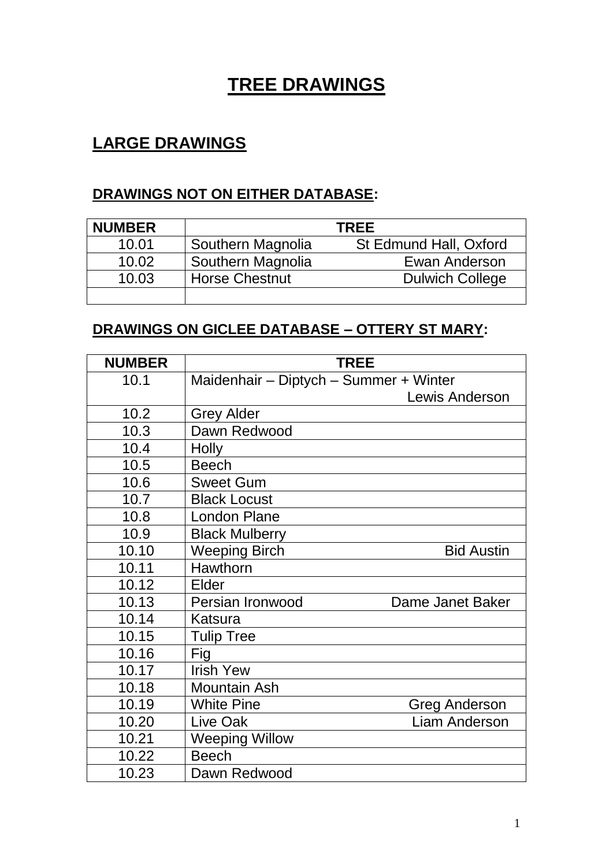# **TREE DRAWINGS**

## **LARGE DRAWINGS**

#### **DRAWINGS NOT ON EITHER DATABASE:**

| <b>NUMBER</b> |                       | <b>TREE</b>            |
|---------------|-----------------------|------------------------|
| 10.01         | Southern Magnolia     | St Edmund Hall, Oxford |
| 10.02         | Southern Magnolia     | Ewan Anderson          |
| 10.03         | <b>Horse Chestnut</b> | <b>Dulwich College</b> |
|               |                       |                        |

#### **DRAWINGS ON GICLEE DATABASE – OTTERY ST MARY:**

| <b>NUMBER</b> |                                        | <b>TREE</b>          |
|---------------|----------------------------------------|----------------------|
| 10.1          | Maidenhair - Diptych - Summer + Winter |                      |
|               |                                        | Lewis Anderson       |
| 10.2          | <b>Grey Alder</b>                      |                      |
| 10.3          | Dawn Redwood                           |                      |
| 10.4          | <b>Holly</b>                           |                      |
| 10.5          | <b>Beech</b>                           |                      |
| 10.6          | <b>Sweet Gum</b>                       |                      |
| 10.7          | <b>Black Locust</b>                    |                      |
| 10.8          | <b>London Plane</b>                    |                      |
| 10.9          | <b>Black Mulberry</b>                  |                      |
| 10.10         | <b>Weeping Birch</b>                   | <b>Bid Austin</b>    |
| 10.11         | Hawthorn                               |                      |
| 10.12         | Elder                                  |                      |
| 10.13         | Persian Ironwood                       | Dame Janet Baker     |
| 10.14         | Katsura                                |                      |
| 10.15         | <b>Tulip Tree</b>                      |                      |
| 10.16         | Fig                                    |                      |
| 10.17         | <b>Irish Yew</b>                       |                      |
| 10.18         | <b>Mountain Ash</b>                    |                      |
| 10.19         | <b>White Pine</b>                      | <b>Greg Anderson</b> |
| 10.20         | Live Oak                               | <b>Liam Anderson</b> |
| 10.21         | <b>Weeping Willow</b>                  |                      |
| 10.22         | <b>Beech</b>                           |                      |
| 10.23         | Dawn Redwood                           |                      |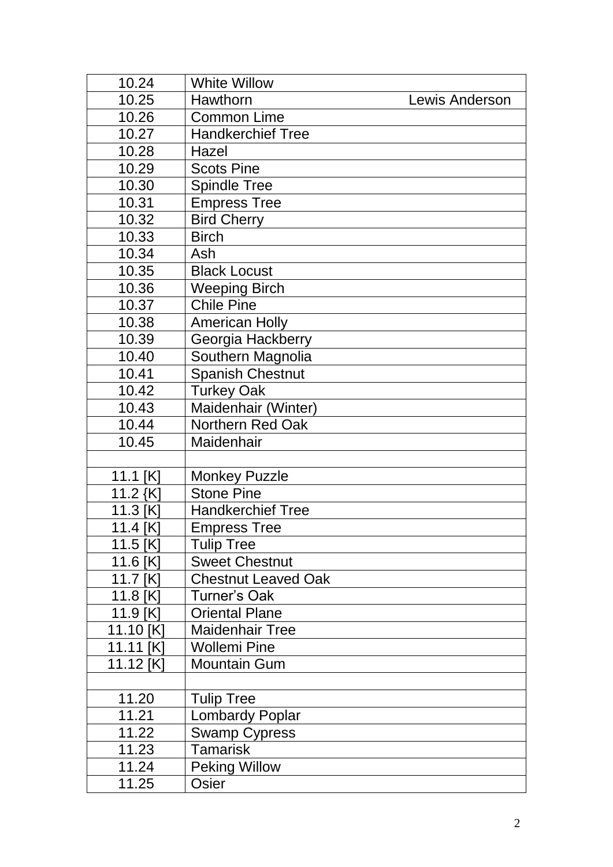| 10.24     | <b>White Willow</b>        |                |
|-----------|----------------------------|----------------|
| 10.25     | Hawthorn                   | Lewis Anderson |
| 10.26     | <b>Common Lime</b>         |                |
| 10.27     | <b>Handkerchief Tree</b>   |                |
| 10.28     | Hazel                      |                |
| 10.29     | <b>Scots Pine</b>          |                |
| 10.30     | <b>Spindle Tree</b>        |                |
| 10.31     | <b>Empress Tree</b>        |                |
| 10.32     | <b>Bird Cherry</b>         |                |
| 10.33     | <b>Birch</b>               |                |
| 10.34     | Ash                        |                |
| 10.35     | <b>Black Locust</b>        |                |
| 10.36     | <b>Weeping Birch</b>       |                |
| 10.37     | <b>Chile Pine</b>          |                |
| 10.38     | <b>American Holly</b>      |                |
| 10.39     | Georgia Hackberry          |                |
| 10.40     | Southern Magnolia          |                |
| 10.41     | <b>Spanish Chestnut</b>    |                |
| 10.42     | <b>Turkey Oak</b>          |                |
| 10.43     | Maidenhair (Winter)        |                |
| 10.44     | Northern Red Oak           |                |
| 10.45     | Maidenhair                 |                |
|           |                            |                |
| 11.1 [K]  | <b>Monkey Puzzle</b>       |                |
| 11.2 $K$  | <b>Stone Pine</b>          |                |
| 11.3 [K]  | <b>Handkerchief Tree</b>   |                |
| 11.4 [K]  | <b>Empress Tree</b>        |                |
| 11.5 [K]  | <b>Tulip Tree</b>          |                |
| 11.6 [K]  | <b>Sweet Chestnut</b>      |                |
| 11.7 [K]  | <b>Chestnut Leaved Oak</b> |                |
| 11.8 [K]  | <b>Turner's Oak</b>        |                |
| 11.9 [K]  | <b>Oriental Plane</b>      |                |
| 11.10 [K] | <b>Maidenhair Tree</b>     |                |
| 11.11 [K] | <b>Wollemi Pine</b>        |                |
| 11.12 [K] | <b>Mountain Gum</b>        |                |
|           |                            |                |
| 11.20     | <b>Tulip Tree</b>          |                |
| 11.21     | <b>Lombardy Poplar</b>     |                |
| 11.22     | <b>Swamp Cypress</b>       |                |
| 11.23     | Tamarisk                   |                |
| 11.24     | <b>Peking Willow</b>       |                |
| 11.25     | Osier                      |                |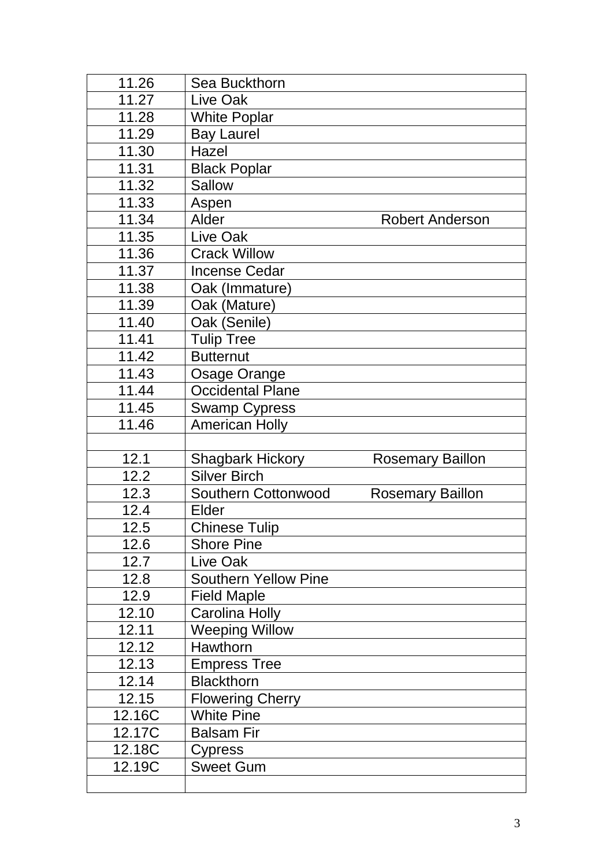| 11.26  | Sea Buckthorn               |                         |
|--------|-----------------------------|-------------------------|
| 11.27  | Live Oak                    |                         |
| 11.28  | <b>White Poplar</b>         |                         |
| 11.29  | <b>Bay Laurel</b>           |                         |
| 11.30  | Hazel                       |                         |
| 11.31  | <b>Black Poplar</b>         |                         |
| 11.32  | <b>Sallow</b>               |                         |
| 11.33  | Aspen                       |                         |
| 11.34  | Alder                       | <b>Robert Anderson</b>  |
| 11.35  | Live Oak                    |                         |
| 11.36  | <b>Crack Willow</b>         |                         |
| 11.37  | <b>Incense Cedar</b>        |                         |
| 11.38  | Oak (Immature)              |                         |
| 11.39  | Oak (Mature)                |                         |
| 11.40  | Oak (Senile)                |                         |
| 11.41  | <b>Tulip Tree</b>           |                         |
| 11.42  | <b>Butternut</b>            |                         |
| 11.43  | Osage Orange                |                         |
| 11.44  | <b>Occidental Plane</b>     |                         |
| 11.45  | <b>Swamp Cypress</b>        |                         |
| 11.46  | <b>American Holly</b>       |                         |
|        |                             |                         |
|        |                             |                         |
| 12.1   | <b>Shagbark Hickory</b>     | <b>Rosemary Baillon</b> |
| 12.2   | <b>Silver Birch</b>         |                         |
| 12.3   | Southern Cottonwood         | <b>Rosemary Baillon</b> |
| 12.4   | Elder                       |                         |
| 12.5   | <b>Chinese Tulip</b>        |                         |
| 12.6   | <b>Shore Pine</b>           |                         |
| 12.7   | Live Oak                    |                         |
| 12.8   | <b>Southern Yellow Pine</b> |                         |
| 12.9   | <b>Field Maple</b>          |                         |
| 12.10  | Carolina Holly              |                         |
| 12.11  | <b>Weeping Willow</b>       |                         |
| 12.12  | <b>Hawthorn</b>             |                         |
| 12.13  | <b>Empress Tree</b>         |                         |
| 12.14  | <b>Blackthorn</b>           |                         |
| 12.15  | <b>Flowering Cherry</b>     |                         |
| 12.16C | <b>White Pine</b>           |                         |
| 12.17C | <b>Balsam Fir</b>           |                         |
| 12.18C | Cypress                     |                         |
| 12.19C | <b>Sweet Gum</b>            |                         |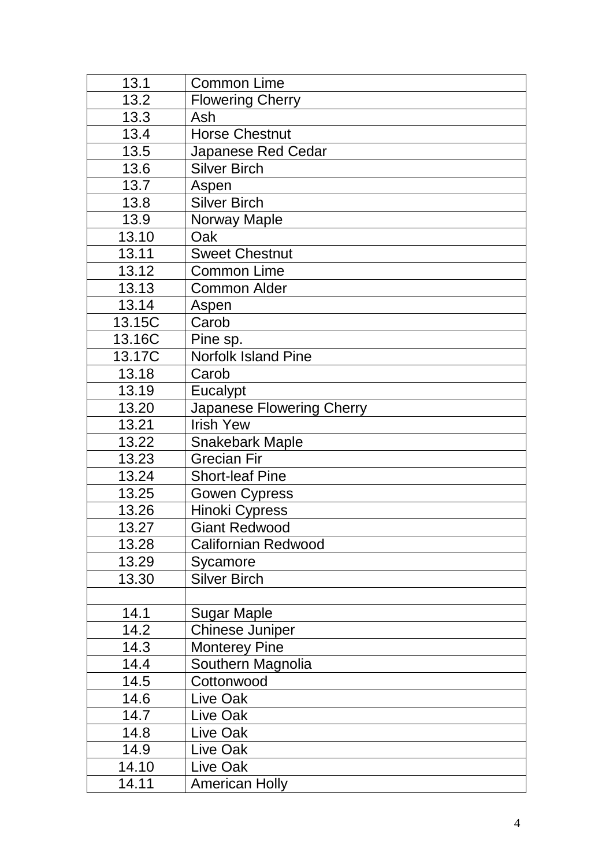| 13.1   | <b>Common Lime</b>               |
|--------|----------------------------------|
| 13.2   | <b>Flowering Cherry</b>          |
| 13.3   | Ash                              |
| 13.4   | <b>Horse Chestnut</b>            |
| 13.5   | <b>Japanese Red Cedar</b>        |
| 13.6   | <b>Silver Birch</b>              |
| 13.7   | Aspen                            |
| 13.8   | <b>Silver Birch</b>              |
| 13.9   | <b>Norway Maple</b>              |
| 13.10  | Oak                              |
| 13.11  | <b>Sweet Chestnut</b>            |
| 13.12  | <b>Common Lime</b>               |
| 13.13  | <b>Common Alder</b>              |
| 13.14  | Aspen                            |
| 13.15C | Carob                            |
| 13.16C | Pine sp.                         |
| 13.17C | <b>Norfolk Island Pine</b>       |
| 13.18  | Carob                            |
| 13.19  | Eucalypt                         |
| 13.20  | <b>Japanese Flowering Cherry</b> |
| 13.21  | <b>Irish Yew</b>                 |
| 13.22  | <b>Snakebark Maple</b>           |
| 13.23  | <b>Grecian Fir</b>               |
| 13.24  | <b>Short-leaf Pine</b>           |
| 13.25  | <b>Gowen Cypress</b>             |
| 13.26  | <b>Hinoki Cypress</b>            |
| 13.27  | <b>Giant Redwood</b>             |
| 13.28  | <b>Californian Redwood</b>       |
| 13.29  | Sycamore                         |
| 13.30  | <b>Silver Birch</b>              |
|        |                                  |
| 14.1   | Sugar Maple                      |
| 14.2   | <b>Chinese Juniper</b>           |
| 14.3   | <b>Monterey Pine</b>             |
| 14.4   | Southern Magnolia                |
| 14.5   | Cottonwood                       |
| 14.6   | Live Oak                         |
| 14.7   | Live Oak                         |
| 14.8   | Live Oak                         |
| 14.9   | Live Oak                         |
| 14.10  | Live Oak                         |
| 14.11  | <b>American Holly</b>            |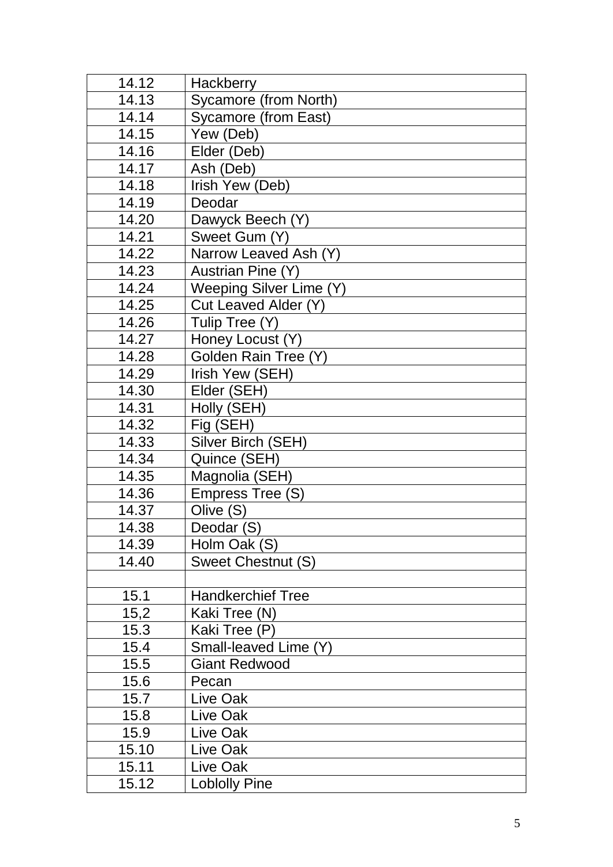| 14.12 | <b>Hackberry</b>            |
|-------|-----------------------------|
| 14.13 | Sycamore (from North)       |
| 14.14 | <b>Sycamore (from East)</b> |
| 14.15 | Yew (Deb)                   |
| 14.16 | Elder (Deb)                 |
| 14.17 | Ash (Deb)                   |
| 14.18 | Irish Yew (Deb)             |
| 14.19 | Deodar                      |
| 14.20 | Dawyck Beech (Y)            |
| 14.21 | Sweet Gum (Y)               |
| 14.22 | Narrow Leaved Ash (Y)       |
| 14.23 | Austrian Pine (Y)           |
| 14.24 | Weeping Silver Lime (Y)     |
| 14.25 | Cut Leaved Alder (Y)        |
| 14.26 | Tulip Tree (Y)              |
| 14.27 | Honey Locust (Y)            |
| 14.28 | Golden Rain Tree (Y)        |
| 14.29 | Irish Yew (SEH)             |
| 14.30 | Elder (SEH)                 |
| 14.31 | Holly (SEH)                 |
| 14.32 | Fig (SEH)                   |
| 14.33 | Silver Birch (SEH)          |
| 14.34 | Quince (SEH)                |
| 14.35 | Magnolia (SEH)              |
| 14.36 | Empress Tree (S)            |
| 14.37 | Olive (S)                   |
| 14.38 | Deodar (S)                  |
| 14.39 | Holm Oak (S)                |
| 14.40 | <b>Sweet Chestnut (S)</b>   |
|       |                             |
| 15.1  | <b>Handkerchief Tree</b>    |
| 15,2  | Kaki Tree (N)               |
| 15.3  | Kaki Tree (P)               |
| 15.4  | Small-leaved Lime (Y)       |
| 15.5  | <b>Giant Redwood</b>        |
| 15.6  | Pecan                       |
| 15.7  | Live Oak                    |
| 15.8  | Live Oak                    |
| 15.9  | Live Oak                    |
| 15.10 | Live Oak                    |
| 15.11 | Live Oak                    |
| 15.12 | <b>Loblolly Pine</b>        |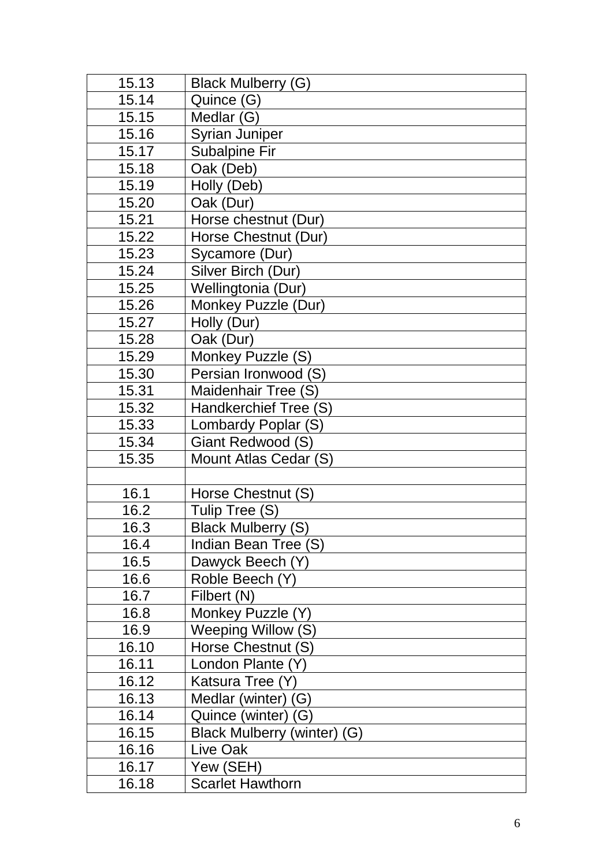| 15.13 | <b>Black Mulberry (G)</b>   |
|-------|-----------------------------|
| 15.14 | Quince (G)                  |
| 15.15 | Medlar (G)                  |
| 15.16 | <b>Syrian Juniper</b>       |
| 15.17 | <b>Subalpine Fir</b>        |
| 15.18 | Oak (Deb)                   |
| 15.19 | Holly (Deb)                 |
| 15.20 | Oak (Dur)                   |
| 15.21 | Horse chestnut (Dur)        |
| 15.22 | Horse Chestnut (Dur)        |
| 15.23 | Sycamore (Dur)              |
| 15.24 | Silver Birch (Dur)          |
| 15.25 | Wellingtonia (Dur)          |
| 15.26 | Monkey Puzzle (Dur)         |
| 15.27 | Holly (Dur)                 |
| 15.28 | Oak (Dur)                   |
| 15.29 | Monkey Puzzle (S)           |
| 15.30 | Persian Ironwood (S)        |
| 15.31 | Maidenhair Tree (S)         |
| 15.32 | Handkerchief Tree (S)       |
| 15.33 | Lombardy Poplar (S)         |
| 15.34 | Giant Redwood (S)           |
| 15.35 | Mount Atlas Cedar (S)       |
|       |                             |
| 16.1  | Horse Chestnut (S)          |
| 16.2  | Tulip Tree (S)              |
| 16.3  | <b>Black Mulberry (S)</b>   |
| 16.4  | Indian Bean Tree (S)        |
| 16.5  | Dawyck Beech (Y)            |
| 16.6  | Roble Beech (Y)             |
| 16.7  | Filbert (N)                 |
| 16.8  | Monkey Puzzle (Y)           |
| 16.9  | Weeping Willow (S)          |
| 16.10 | Horse Chestnut (S)          |
| 16.11 | London Plante (Y)           |
| 16.12 | Katsura Tree (Y)            |
| 16.13 | Medlar (winter)<br>(G)      |
| 16.14 | Quince (winter) (G)         |
| 16.15 | Black Mulberry (winter) (G) |
| 16.16 | Live Oak                    |
| 16.17 | Yew (SEH)                   |
| 16.18 | <b>Scarlet Hawthorn</b>     |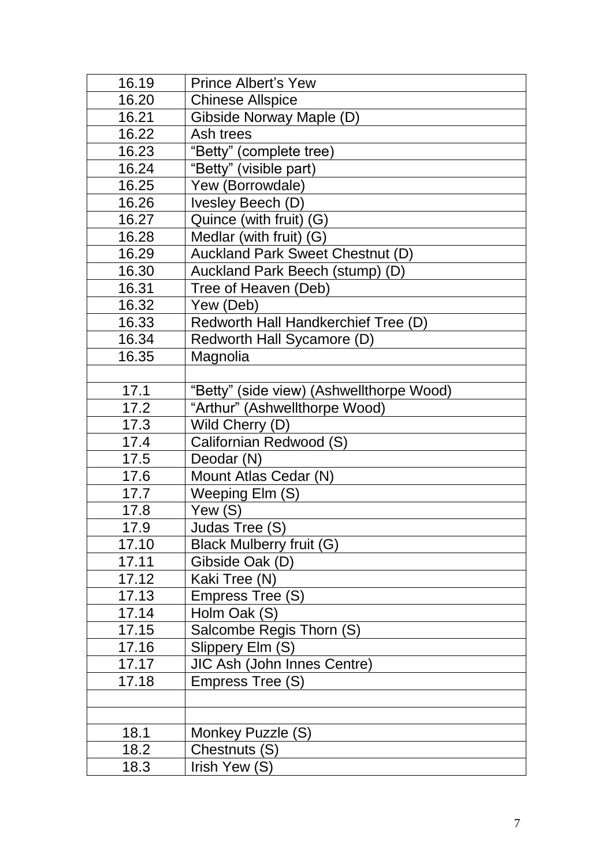| 16.19 | <b>Prince Albert's Yew</b>               |  |
|-------|------------------------------------------|--|
| 16.20 | <b>Chinese Allspice</b>                  |  |
| 16.21 | Gibside Norway Maple (D)                 |  |
| 16.22 | Ash trees                                |  |
| 16.23 | "Betty" (complete tree)                  |  |
| 16.24 | "Betty" (visible part)                   |  |
| 16.25 | Yew (Borrowdale)                         |  |
| 16.26 | Ivesley Beech (D)                        |  |
| 16.27 | Quince (with fruit) (G)                  |  |
| 16.28 | Medlar (with fruit) $(G)$                |  |
| 16.29 | Auckland Park Sweet Chestnut (D)         |  |
| 16.30 | Auckland Park Beech (stump) (D)          |  |
| 16.31 | Tree of Heaven (Deb)                     |  |
| 16.32 | Yew (Deb)                                |  |
| 16.33 | Redworth Hall Handkerchief Tree (D)      |  |
| 16.34 | Redworth Hall Sycamore (D)               |  |
| 16.35 | Magnolia                                 |  |
|       |                                          |  |
| 17.1  | "Betty" (side view) (Ashwellthorpe Wood) |  |
| 17.2  | "Arthur" (Ashwellthorpe Wood)            |  |
| 17.3  | Wild Cherry (D)                          |  |
| 17.4  | Californian Redwood (S)                  |  |
| 17.5  | Deodar (N)                               |  |
| 17.6  | Mount Atlas Cedar (N)                    |  |
| 17.7  | Weeping Elm (S)                          |  |
| 17.8  | Yew (S)                                  |  |
| 17.9  | Judas Tree (S)                           |  |
| 17.10 | Black Mulberry fruit (G)                 |  |
| 17.11 | Gibside Oak (D)                          |  |
| 17.12 | Kaki Tree (N)                            |  |
| 17.13 | Empress Tree (S)                         |  |
| 17.14 | Holm Oak (S)                             |  |
| 17.15 | Salcombe Regis Thorn (S)                 |  |
| 17.16 | Slippery Elm (S)                         |  |
| 17.17 | JIC Ash (John Innes Centre)              |  |
| 17.18 | Empress Tree (S)                         |  |
|       |                                          |  |
|       |                                          |  |
| 18.1  | Monkey Puzzle (S)                        |  |
| 18.2  | Chestnuts (S)                            |  |
| 18.3  | Irish Yew (S)                            |  |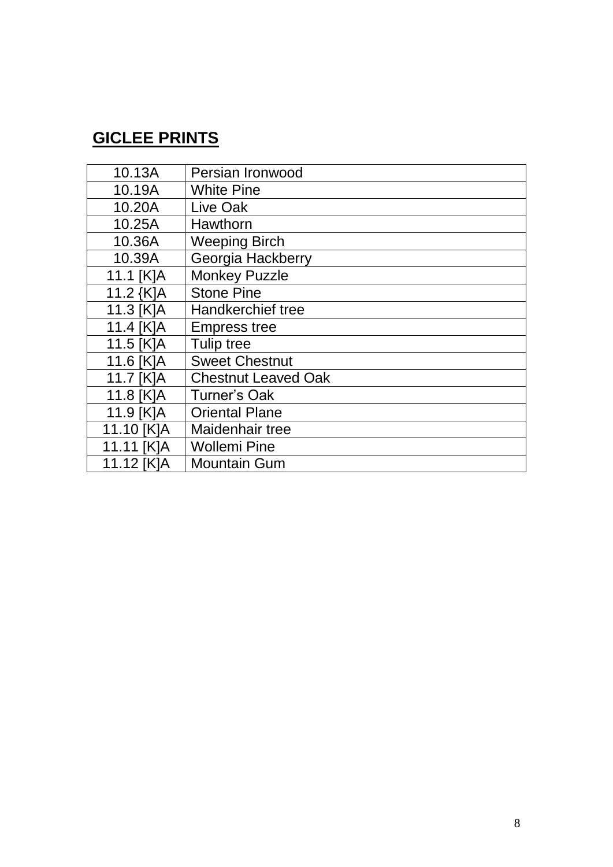## **GICLEE PRINTS**

| 10.13A     | Persian Ironwood           |
|------------|----------------------------|
| 10.19A     | <b>White Pine</b>          |
| 10.20A     | Live Oak                   |
| 10.25A     | <b>Hawthorn</b>            |
| 10.36A     | <b>Weeping Birch</b>       |
| 10.39A     | Georgia Hackberry          |
| 11.1 [K]A  | <b>Monkey Puzzle</b>       |
| 11.2 {K]A  | <b>Stone Pine</b>          |
| 11.3 [K]A  | Handkerchief tree          |
| 11.4 [K]A  | <b>Empress tree</b>        |
| 11.5 [K]A  | Tulip tree                 |
| 11.6 [K]A  | <b>Sweet Chestnut</b>      |
| 11.7 [K]A  | <b>Chestnut Leaved Oak</b> |
| 11.8 [K]A  | <b>Turner's Oak</b>        |
| 11.9 [K]A  | <b>Oriental Plane</b>      |
| 11.10 [K]A | Maidenhair tree            |
| 11.11 [K]A | <b>Wollemi Pine</b>        |
| 11.12 [K]A | <b>Mountain Gum</b>        |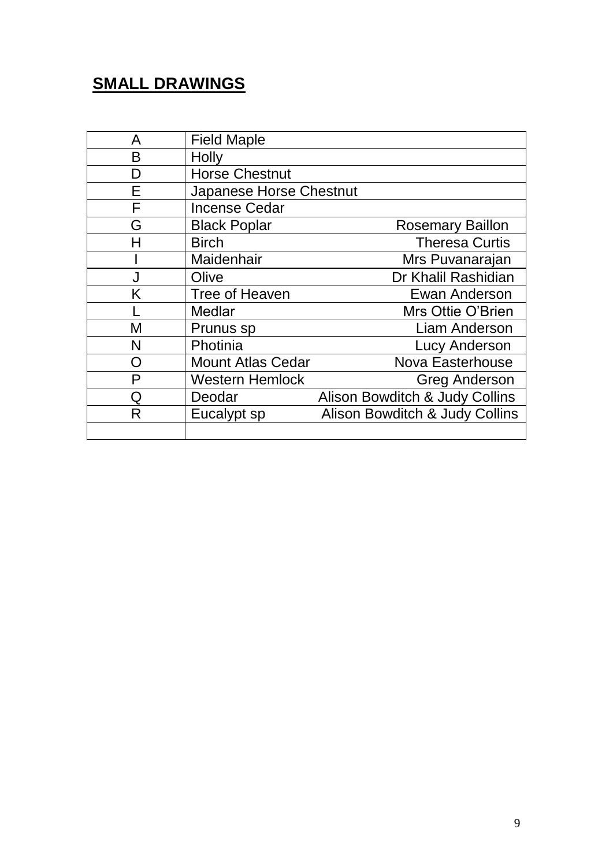## **SMALL DRAWINGS**

| A | <b>Field Maple</b>       |                                |
|---|--------------------------|--------------------------------|
| B | Holly                    |                                |
| D | <b>Horse Chestnut</b>    |                                |
| F | Japanese Horse Chestnut  |                                |
| F | <b>Incense Cedar</b>     |                                |
| G | <b>Black Poplar</b>      | <b>Rosemary Baillon</b>        |
| H | <b>Birch</b>             | <b>Theresa Curtis</b>          |
|   | Maidenhair               | Mrs Puvanarajan                |
| J | Olive                    | Dr Khalil Rashidian            |
| Κ | Tree of Heaven           | Ewan Anderson                  |
|   | <b>Medlar</b>            | Mrs Ottie O'Brien              |
| M | Prunus sp                | <b>Liam Anderson</b>           |
| N | Photinia                 | <b>Lucy Anderson</b>           |
| O | <b>Mount Atlas Cedar</b> | <b>Nova Easterhouse</b>        |
| P | <b>Western Hemlock</b>   | <b>Greg Anderson</b>           |
| Ω | Deodar                   | Alison Bowditch & Judy Collins |
| R | Eucalypt sp              | Alison Bowditch & Judy Collins |
|   |                          |                                |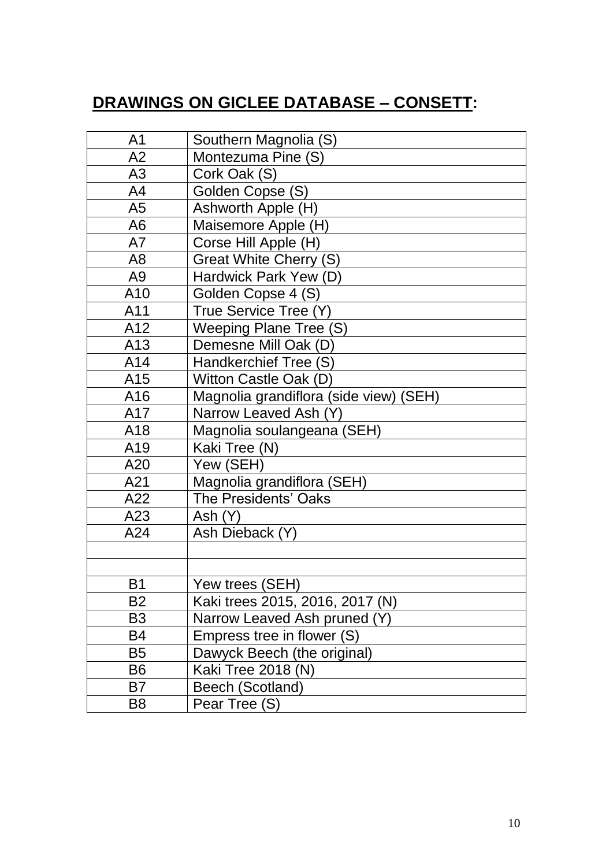# **DRAWINGS ON GICLEE DATABASE – CONSETT:**

| A <sub>1</sub> | Southern Magnolia (S)                  |
|----------------|----------------------------------------|
| A2             | Montezuma Pine (S)                     |
| A3             | Cork Oak (S)                           |
| A <sub>4</sub> | Golden Copse (S)                       |
| A <sub>5</sub> | Ashworth Apple (H)                     |
| A <sub>6</sub> | Maisemore Apple (H)                    |
| A7             | Corse Hill Apple (H)                   |
| A <sub>8</sub> | <b>Great White Cherry (S)</b>          |
| A <sub>9</sub> | Hardwick Park Yew (D)                  |
| A10            | Golden Copse 4 (S)                     |
| A11            | True Service Tree (Y)                  |
| A12            | Weeping Plane Tree (S)                 |
| A13            | Demesne Mill Oak (D)                   |
| A14            | Handkerchief Tree (S)                  |
| A15            | Witton Castle Oak (D)                  |
| A16            | Magnolia grandiflora (side view) (SEH) |
| A17            | Narrow Leaved Ash (Y)                  |
| A18            | Magnolia soulangeana (SEH)             |
| A19            | Kaki Tree (N)                          |
| A20            | Yew (SEH)                              |
| A21            | Magnolia grandiflora (SEH)             |
| A22            | The Presidents' Oaks                   |
| A23            | Ash(Y)                                 |
| A24            | Ash Dieback (Y)                        |
|                |                                        |
|                |                                        |
| B <sub>1</sub> | Yew trees (SEH)                        |
| B2             | Kaki trees 2015, 2016, 2017 (N)        |
| B <sub>3</sub> | Narrow Leaved Ash pruned (Y)           |
| B4             | Empress tree in flower (S)             |
| B5             | Dawyck Beech (the original)            |
| B6             | Kaki Tree 2018 (N)                     |
| B7             | Beech (Scotland)                       |
| B <sub>8</sub> | Pear Tree (S)                          |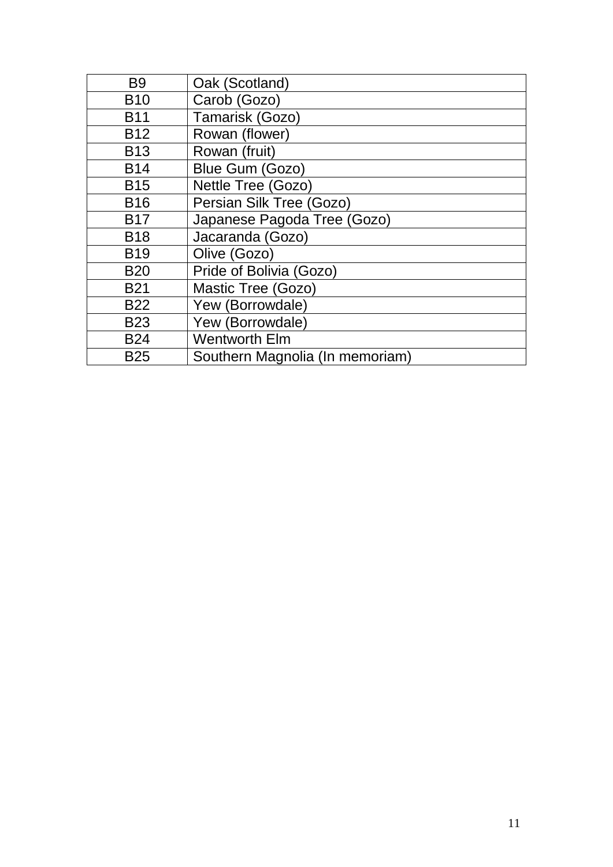| B <sub>9</sub> | Oak (Scotland)                  |
|----------------|---------------------------------|
| <b>B10</b>     | Carob (Gozo)                    |
| <b>B11</b>     | Tamarisk (Gozo)                 |
| <b>B12</b>     | Rowan (flower)                  |
| <b>B13</b>     | Rowan (fruit)                   |
| <b>B14</b>     | Blue Gum (Gozo)                 |
| <b>B15</b>     | Nettle Tree (Gozo)              |
| <b>B16</b>     | Persian Silk Tree (Gozo)        |
| <b>B17</b>     | Japanese Pagoda Tree (Gozo)     |
| <b>B18</b>     | Jacaranda (Gozo)                |
| <b>B19</b>     | Olive (Gozo)                    |
| <b>B20</b>     | Pride of Bolivia (Gozo)         |
| <b>B21</b>     | Mastic Tree (Gozo)              |
| <b>B22</b>     | Yew (Borrowdale)                |
| <b>B23</b>     | Yew (Borrowdale)                |
| <b>B24</b>     | <b>Wentworth Elm</b>            |
| <b>B25</b>     | Southern Magnolia (In memoriam) |